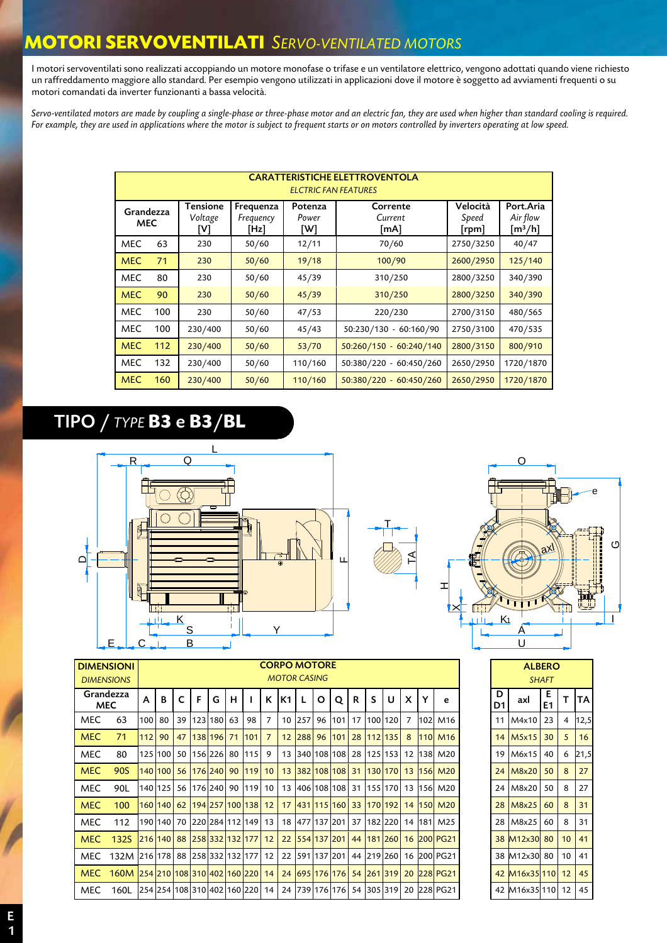#### **MOTORI SERVOVENTILATI** *SERVO-VENTILATED MOTORS*

I motori servoventilati sono realizzati accoppiando un motore monofase o trifase e un ventilatore elettrico, vengono adottati quando viene richiesto un raffreddamento maggiore allo standard. Per esempio vengono utilizzati in applicazioni dove il motore è soggetto ad avviamenti frequenti o su motori comandati da inverter funzionanti a bassa velocità.

*Servo-ventilated motors are made by coupling a single-phase or three-phase motor and an electric fan, they are used when higher than standard cooling is required. For example, they are used in applications where the motor is subject to frequent starts or on motors controlled by inverters operating at low speed.* 

|                         |     |                                   |                                | <b>ELCTRIC FAN FEATURES</b> | <b>CARATTERISTICHE ELETTROVENTOLA</b> |                                         |                                                |
|-------------------------|-----|-----------------------------------|--------------------------------|-----------------------------|---------------------------------------|-----------------------------------------|------------------------------------------------|
| Grandezza<br><b>MEC</b> |     | <b>Tensione</b><br>Voltage<br>[V] | Frequenza<br>Frequency<br>[Hz] | Potenza<br>Power<br>W1      | Corrente<br>Current<br>[mA]           | Velocità<br>Speed<br>[ <sub>rpm</sub> ] | Port.Aria<br>Air flow<br>$\lceil m^3/h \rceil$ |
| <b>MEC</b>              | 63  | 230                               | 50/60                          | 12/11                       | 70/60                                 | 2750/3250                               | 40/47                                          |
| <b>MEC</b>              | 71  | 230                               | 50/60                          | 19/18                       | 100/90                                | 2600/2950                               | 125/140                                        |
| <b>MEC</b>              | 80  | 230                               | 50/60                          | 45/39                       | 310/250                               | 2800/3250                               | 340/390                                        |
| <b>MEC</b>              | 90  | 230                               | 50/60                          | 45/39                       | 310/250                               | 2800/3250                               | 340/390                                        |
| <b>MEC</b>              | 100 | 230                               | 50/60                          | 47/53                       | 220/230                               | 2700/3150                               | 480/565                                        |
| <b>MEC</b>              | 100 | 230/400                           | 50/60                          | 45/43                       | 50:230/130 - 60:160/90                | 2750/3100                               | 470/535                                        |
| <b>MEC</b>              | 112 | 230/400                           | 50/60                          | 53/70                       | $50:260/150 - 60:240/140$             | 2800/3150                               | 800/910                                        |
| MEC                     | 132 | 230/400                           | 50/60                          | 110/160                     | 50:380/220 - 60:450/260               | 2650/2950                               | 1720/1870                                      |
| <b>MEC</b>              | 160 | 230/400                           | 50/60                          | 110/160                     | $50:380/220 - 60:450/260$             | 2650/2950                               | 1720/1870                                      |

# TIPO / *TYPE* **B3** e **B3**/**BL**





|            | <b>DIMENSIONI</b>                   |       |         |                 |   |               |   |                                           |                |                | <b>CORPO MOTORE</b> |   |                  |    |   |                           |                |     |                                                                                       |              | <b>ALBERO</b>          |                 |                 |            |  |
|------------|-------------------------------------|-------|---------|-----------------|---|---------------|---|-------------------------------------------|----------------|----------------|---------------------|---|------------------|----|---|---------------------------|----------------|-----|---------------------------------------------------------------------------------------|--------------|------------------------|-----------------|-----------------|------------|--|
|            | <b>DIMENSIONS</b>                   |       |         |                 |   |               |   |                                           |                |                | <b>MOTOR CASING</b> |   |                  |    |   |                           |                |     |                                                                                       | <b>SHAFT</b> |                        |                 |                 |            |  |
|            | Grandezza<br><b>MEC</b>             | A     | B       | C               | F | G             | н |                                           | K              | K <sub>1</sub> |                     | O | $\mathbf{o}$     | R. | S | U                         | X              |     | e                                                                                     | D<br>D1      | axl                    | Е<br>E1         | т               | <b>ITA</b> |  |
| MEC        | 63                                  | 100   | 80      | 39 <sup>1</sup> |   | 123 180 63    |   | 98                                        | $\overline{7}$ |                |                     |   | 10 257 96 101 17 |    |   | 100 120                   | $\overline{7}$ | 102 | M16                                                                                   |              | 11 M4x10               | 23              | 4               | 12,5       |  |
| <b>MEC</b> | 71                                  | $112$ | 90      |                 |   | 47 138 196 71 |   | 101                                       | $\overline{7}$ |                |                     |   |                  |    |   | 12 288 96 101 28 112 135  | 8              |     | <b>110 M16</b>                                                                        |              | $14$ M <sub>5x15</sub> | 30 <sup>°</sup> | 5               | 16         |  |
| <b>MEC</b> | 80                                  |       |         |                 |   |               |   | 125 100  50  156 226  80  115             | 9              |                |                     |   |                  |    |   |                           |                |     | 13 340 108 108 28 125 153 12 138 M20                                                  |              | 19 M6x15               | 40              | 6               | 21,5       |  |
| <b>MEC</b> | 90S                                 |       |         |                 |   |               |   | 140 100 56 176 240 90 119 10              |                |                |                     |   |                  |    |   | 13 382 108 108 31 130 170 |                |     | 13 156 M20                                                                            |              | 24 M8x20               | 50              | 8               | 27         |  |
| <b>MEC</b> | 90L                                 |       | 140 125 |                 |   |               |   | 56 176 240 90 119 10                      |                |                |                     |   |                  |    |   |                           |                |     | 13 406 108 108 31 155 170 13 156 M20                                                  |              | 24 M8x20               | 50              | 8               | 27         |  |
| <b>MEC</b> | 100                                 |       |         |                 |   |               |   |                                           |                |                |                     |   |                  |    |   |                           |                |     | <u> 160 140  62  194 257 100 138  12   17  431 115 160  33  170 192  14  150  M20</u> |              | 28 M8x25               | 60              | 8               | 31         |  |
| MEC.       | 112                                 |       |         |                 |   |               |   | 190 140   70   220   284   112   149   13 |                |                |                     |   |                  |    |   | 18 477 137 201 37 182 220 |                |     | 14 181 M25                                                                            |              | 28 M8x25               | 60              | 8               | 31         |  |
| <b>MEC</b> | 132S                                |       |         |                 |   |               |   | 216 140 88 258 332 132 177 12             |                |                |                     |   |                  |    |   | 22 554 137 201 44 181 260 |                |     | 16 200 PG21                                                                           |              | 38 M12x30 80           |                 | 10 <sup>°</sup> | 41         |  |
| MEC.       | 132M 216 178 88 258 332 132 177 12  |       |         |                 |   |               |   |                                           |                |                |                     |   |                  |    |   | 22 591 137 201 44 219 260 |                |     | 16 200 PG21                                                                           |              | 38 M12x30 80           |                 | $10 \mid 41$    |            |  |
| MEC.       | 160M 254 210 108 310 402 160 220 14 |       |         |                 |   |               |   |                                           |                |                |                     |   |                  |    |   |                           |                |     | 24 695 176 176 54 261 319 20 228 PG21                                                 |              | 42 M16x35 110          |                 | 12              | 45         |  |
| <b>MEC</b> | 160L                                |       |         |                 |   |               |   | 254 254 108 310 402 160 220 14            |                |                |                     |   |                  |    |   |                           |                |     | 24 739 176 176 54 305 319 20 228 PG21                                                 |              | 42 M16x35 110 12       |                 |                 | 45         |  |

|         | <b>ALBERO</b><br><b>SHAFT</b> |         |    |      |  |  |  |  |  |  |
|---------|-------------------------------|---------|----|------|--|--|--|--|--|--|
| D<br>D1 | axl                           | E<br>E1 | т  | TA   |  |  |  |  |  |  |
| 11      | M4x10                         | 23      | 4  | 12,5 |  |  |  |  |  |  |
| 14      | M5x15                         | 30      | 5  | 16   |  |  |  |  |  |  |
| 19      | M6x15                         | 40      | 6  | 21,5 |  |  |  |  |  |  |
| 24      | M8x20                         | 50      | 8  | 27   |  |  |  |  |  |  |
| 24      | M8x20                         | 50      | 8  | 27   |  |  |  |  |  |  |
| 28      | M8x25                         | 60      | 8  | 31   |  |  |  |  |  |  |
| 28      | M8x25                         | 60      | 8  | 31   |  |  |  |  |  |  |
| 38      | M12x30                        | 80      | 10 | 41   |  |  |  |  |  |  |
| 38      | M12x30                        | 80      | 10 | 41   |  |  |  |  |  |  |
| 42      | M16x35                        | 110     | 12 | 45   |  |  |  |  |  |  |
| 42      | M16x35                        | 110     | 12 | 45   |  |  |  |  |  |  |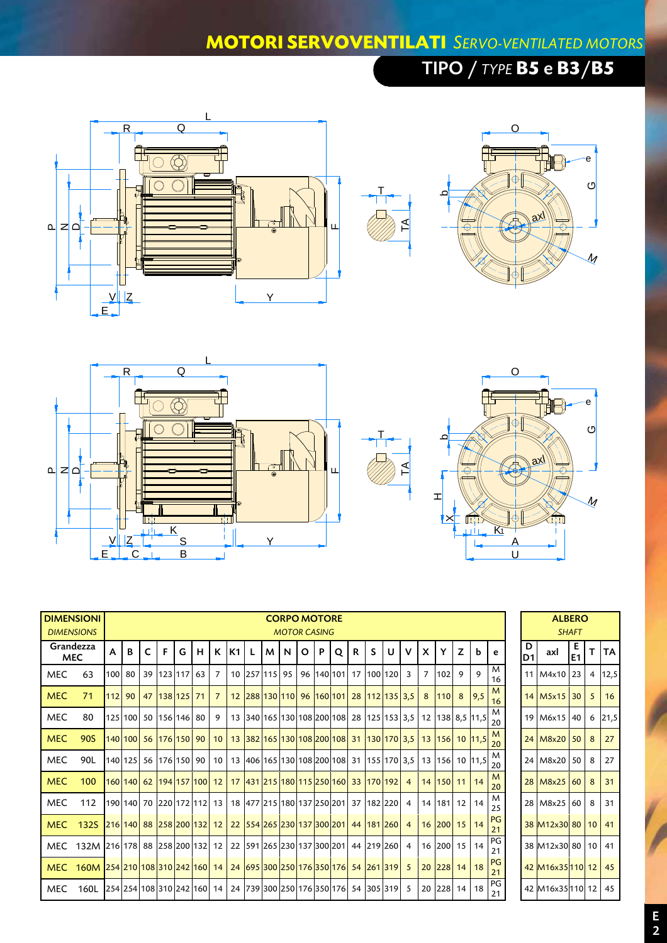### **MOTORI SERVOVENTILATI** *SERVO-VENTILATED MOTORS*

 $\mathsf{T}$ 

# TIPO / *TYPE* **B5** e **B3**/**B5**









| <b>DIMENSIONI</b> | <b>DIMENSIONS</b>               |   |                            |              |               |   |   |                 |      |   |     | <b>CORPO MOTORE</b><br><b>MOTOR CASING</b> |         |   |              |   |    |                                          |                |          |                                                           |   |              |                 |                     | <b>ALBERO</b>       | <b>SHAFT</b> |   |           |
|-------------------|---------------------------------|---|----------------------------|--------------|---------------|---|---|-----------------|------|---|-----|--------------------------------------------|---------|---|--------------|---|----|------------------------------------------|----------------|----------|-----------------------------------------------------------|---|--------------|-----------------|---------------------|---------------------|--------------|---|-----------|
|                   | Grandezza<br><b>MEC</b>         | А | B                          | $\mathsf{C}$ | F             | G | H |                 | K K1 | L | M I | N                                          | $\circ$ | P | $\mathbf{o}$ | R | S. | U                                        | $\mathbf v$    | <b>X</b> | Y                                                         | Z | <b>b</b>     | e               | D<br>D <sub>1</sub> | axl                 | E1           |   | <b>TA</b> |
| <b>MEC</b>        | 63                              |   | 100 80                     |              | 39 123 117 63 |   |   | $\overline{7}$  |      |   |     | 10 257 115 95                              |         |   |              |   |    | 96 140 101 17 100 120                    | $\mathbf{3}$   |          | 7 102                                                     | 9 | 9            | M<br>16         |                     | 11 M4x10 23         |              | 4 | 12,5      |
| <b>MEC</b>        | 71                              |   | 112 90                     |              | 47 138 125 71 |   |   | $7^{\circ}$     |      |   |     |                                            |         |   |              |   |    | 12 288 130 110 96 160 101 28 112 135 3.5 |                |          | 8 110                                                     |   | $8 \mid 9.5$ | M<br>16         |                     | 14   M5x15   30     |              | 5 | 16        |
| <b>MEC</b>        | 80                              |   | 125 100 50 156 146 80      |              |               |   |   | 9               |      |   |     |                                            |         |   |              |   |    |                                          |                |          | 13 340 165 130 108 200 108 28 125 153 3,5 12 138 8,5 11,5 |   |              | M<br>20         |                     | 19 M6x15 40         |              | 6 | 21,5      |
| <b>MEC</b>        | 90S                             |   | 140 100 56 176 150 90      |              |               |   |   | 10 <sup>°</sup> |      |   |     |                                            |         |   |              |   |    |                                          |                |          | 13 382 165 130 108 200 108 31 130 170 3,5 13 156 10 11,5  |   |              | M<br>20         |                     | 24 M8x20 50         |              | 8 | 27        |
| <b>MEC</b>        | 90L                             |   | 140 125 56 176 150 90      |              |               |   |   | 10              |      |   |     |                                            |         |   |              |   |    |                                          |                |          | 13 406 165 130 108 200 108 31 155 170 3,5 13 156 10 11,5  |   |              | M<br>20         |                     | 24 M8x20 50         |              | 8 | 27        |
| <b>MEC</b>        | 100                             |   | 160 140 62 194 157 100 12  |              |               |   |   |                 |      |   |     |                                            |         |   |              |   |    | 17 431 215 180 115 250 160 33 170 192 4  |                |          | 14 150 11 14                                              |   |              | M<br>20         |                     | 28 M8x25 60         |              | 8 | 31        |
| <b>MEC</b>        | 112                             |   | 190 140 70 220 172 112 13  |              |               |   |   |                 |      |   |     |                                            |         |   |              |   |    | 18 477 215 180 137 250 201 37 182 220    | $\overline{4}$ |          | 14 181 12 14                                              |   |              | M<br>25         |                     | 28 M8x25 60         |              | 8 | 31        |
| <b>MEC</b>        | 132S                            |   | 216 140 88 258 200 132 12  |              |               |   |   |                 |      |   |     |                                            |         |   |              |   |    | 22 554 265 230 137 300 201 44 181 260 4  |                |          | 16 200 15                                                 |   | 14           | <b>PG</b><br>21 |                     | 38 M12x30 80 10 41  |              |   |           |
| MEC               | 132M 216 178 88 258 200 132 12  |   |                            |              |               |   |   |                 |      |   |     |                                            |         |   |              |   |    | 22 591 265 230 137 300 201 44 219 260    | $\overline{4}$ |          | 16 200 15 14                                              |   |              | PG<br>21        |                     | 38 M12x30 80 10 41  |              |   |           |
| <b>MEC</b>        | 160M 254 210 108 310 242 160 14 |   |                            |              |               |   |   |                 |      |   |     |                                            |         |   |              |   |    | 24 695 300 250 176 350 176 54 261 319 5  |                |          | 20 228 14 18                                              |   |              | PG<br>21        |                     | 42 M16x35 110 12 45 |              |   |           |
| <b>MEC</b>        | 160L                            |   | 254 254 108 310 242 160 14 |              |               |   |   |                 |      |   |     |                                            |         |   |              |   |    | 24 739 300 250 176 350 176 54 305 319 5  |                |          | 20 228 14 18                                              |   |              | PG<br>21        |                     | 42 M16x35 110 12    |              |   | 45        |